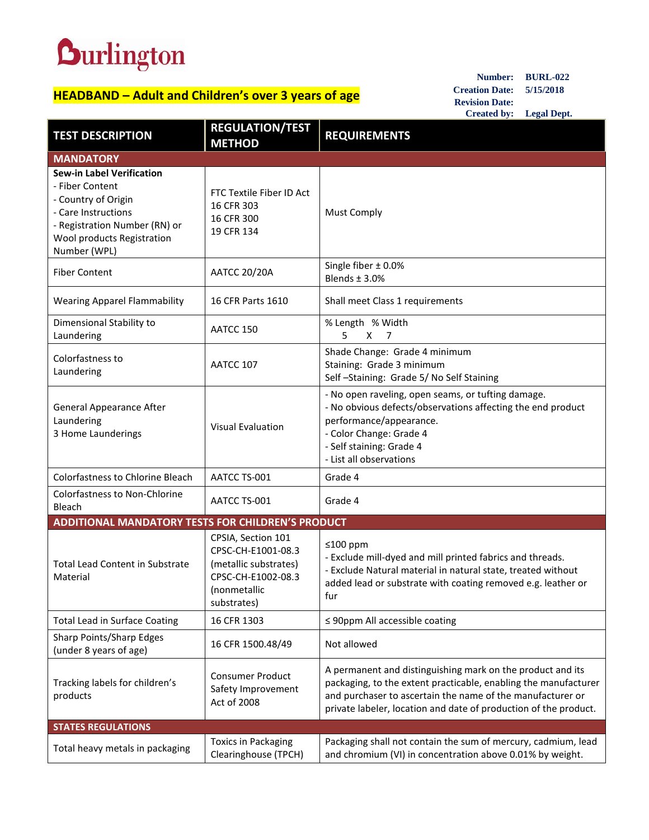## **Durlington**

## **HEADBAND – Adult and Children's over 3 years of age**

**Number: BURL-022 Creation Date: 5/15/2018 Revision Date: Created by: Legal Dept.**

| <b>TEST DESCRIPTION</b>                                                                                                                                                          | <b>REGULATION/TEST</b><br><b>METHOD</b>                                                                                | <b>REQUIREMENTS</b>                                                                                                                                                                                                                                             |  |
|----------------------------------------------------------------------------------------------------------------------------------------------------------------------------------|------------------------------------------------------------------------------------------------------------------------|-----------------------------------------------------------------------------------------------------------------------------------------------------------------------------------------------------------------------------------------------------------------|--|
| <b>MANDATORY</b>                                                                                                                                                                 |                                                                                                                        |                                                                                                                                                                                                                                                                 |  |
| <b>Sew-in Label Verification</b><br>- Fiber Content<br>- Country of Origin<br>- Care Instructions<br>- Registration Number (RN) or<br>Wool products Registration<br>Number (WPL) | FTC Textile Fiber ID Act<br>16 CFR 303<br>16 CFR 300<br>19 CFR 134                                                     | <b>Must Comply</b>                                                                                                                                                                                                                                              |  |
| <b>Fiber Content</b>                                                                                                                                                             | <b>AATCC 20/20A</b>                                                                                                    | Single fiber $\pm$ 0.0%<br>Blends $±$ 3.0%                                                                                                                                                                                                                      |  |
| <b>Wearing Apparel Flammability</b>                                                                                                                                              | 16 CFR Parts 1610                                                                                                      | Shall meet Class 1 requirements                                                                                                                                                                                                                                 |  |
| Dimensional Stability to<br>Laundering                                                                                                                                           | AATCC 150                                                                                                              | % Length % Width<br>5.<br>X<br>7                                                                                                                                                                                                                                |  |
| Colorfastness to<br>Laundering                                                                                                                                                   | AATCC 107                                                                                                              | Shade Change: Grade 4 minimum<br>Staining: Grade 3 minimum<br>Self-Staining: Grade 5/No Self Staining                                                                                                                                                           |  |
| <b>General Appearance After</b><br>Laundering<br>3 Home Launderings                                                                                                              | <b>Visual Evaluation</b>                                                                                               | - No open raveling, open seams, or tufting damage.<br>- No obvious defects/observations affecting the end product<br>performance/appearance.<br>- Color Change: Grade 4<br>- Self staining: Grade 4<br>- List all observations                                  |  |
| Colorfastness to Chlorine Bleach                                                                                                                                                 | AATCC TS-001                                                                                                           | Grade 4                                                                                                                                                                                                                                                         |  |
| <b>Colorfastness to Non-Chlorine</b><br>Bleach                                                                                                                                   | AATCC TS-001                                                                                                           | Grade 4                                                                                                                                                                                                                                                         |  |
| <b>ADDITIONAL MANDATORY TESTS FOR CHILDREN'S PRODUCT</b>                                                                                                                         |                                                                                                                        |                                                                                                                                                                                                                                                                 |  |
| <b>Total Lead Content in Substrate</b><br>Material                                                                                                                               | CPSIA, Section 101<br>CPSC-CH-E1001-08.3<br>(metallic substrates)<br>CPSC-CH-E1002-08.3<br>(nonmetallic<br>substrates) | $≤100$ ppm<br>- Exclude mill-dyed and mill printed fabrics and threads.<br>- Exclude Natural material in natural state, treated without<br>added lead or substrate with coating removed e.g. leather or<br>fur                                                  |  |
| <b>Total Lead in Surface Coating</b>                                                                                                                                             | 16 CFR 1303                                                                                                            | $\leq$ 90ppm All accessible coating                                                                                                                                                                                                                             |  |
| <b>Sharp Points/Sharp Edges</b><br>(under 8 years of age)                                                                                                                        | 16 CFR 1500.48/49                                                                                                      | Not allowed                                                                                                                                                                                                                                                     |  |
| Tracking labels for children's<br>products                                                                                                                                       | <b>Consumer Product</b><br>Safety Improvement<br>Act of 2008                                                           | A permanent and distinguishing mark on the product and its<br>packaging, to the extent practicable, enabling the manufacturer<br>and purchaser to ascertain the name of the manufacturer or<br>private labeler, location and date of production of the product. |  |
| <b>STATES REGULATIONS</b>                                                                                                                                                        |                                                                                                                        |                                                                                                                                                                                                                                                                 |  |
| Total heavy metals in packaging                                                                                                                                                  | <b>Toxics in Packaging</b><br>Clearinghouse (TPCH)                                                                     | Packaging shall not contain the sum of mercury, cadmium, lead<br>and chromium (VI) in concentration above 0.01% by weight.                                                                                                                                      |  |